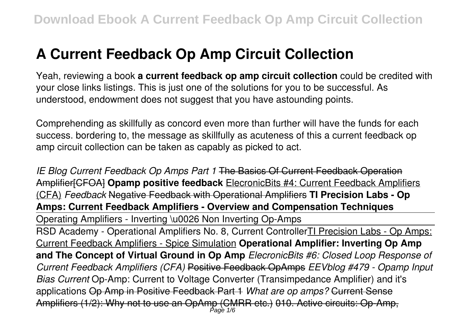# **A Current Feedback Op Amp Circuit Collection**

Yeah, reviewing a book **a current feedback op amp circuit collection** could be credited with your close links listings. This is just one of the solutions for you to be successful. As understood, endowment does not suggest that you have astounding points.

Comprehending as skillfully as concord even more than further will have the funds for each success. bordering to, the message as skillfully as acuteness of this a current feedback op amp circuit collection can be taken as capably as picked to act.

*IE Blog Current Feedback Op Amps Part 1* The Basics Of Current Feedback Operation Amplifier[CFOA] **Opamp positive feedback** ElecronicBits #4: Current Feedback Amplifiers (CFA) *Feedback* Negative Feedback with Operational Amplifiers **TI Precision Labs - Op Amps: Current Feedback Amplifiers - Overview and Compensation Techniques** Operating Amplifiers - Inverting \u0026 Non Inverting Op-Amps RSD Academy - Operational Amplifiers No. 8, Current ControllerTI Precision Labs - Op Amps: Current Feedback Amplifiers - Spice Simulation **Operational Amplifier: Inverting Op Amp and The Concept of Virtual Ground in Op Amp** *ElecronicBits #6: Closed Loop Response of Current Feedback Amplifiers (CFA)* Positive Feedback OpAmps *EEVblog #479 - Opamp Input Bias Current* Op-Amp: Current to Voltage Converter (Transimpedance Amplifier) and it's applications Op Amp in Positive Feedback Part 1 *What are op amps?* Current Sense Amplifiers (1/2): Why not to use an OpAmp (CMRR etc.) 010. Active circuits: Op-Amp, Page 1/6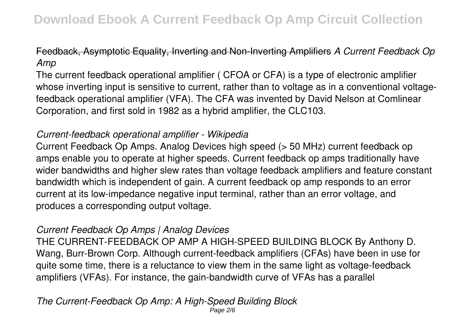# Feedback, Asymptotic Equality, Inverting and Non-Inverting Amplifiers *A Current Feedback Op Amp*

The current feedback operational amplifier ( CFOA or CFA) is a type of electronic amplifier whose inverting input is sensitive to current, rather than to voltage as in a conventional voltagefeedback operational amplifier (VFA). The CFA was invented by David Nelson at Comlinear Corporation, and first sold in 1982 as a hybrid amplifier, the CLC103.

# *Current-feedback operational amplifier - Wikipedia*

Current Feedback Op Amps. Analog Devices high speed (> 50 MHz) current feedback op amps enable you to operate at higher speeds. Current feedback op amps traditionally have wider bandwidths and higher slew rates than voltage feedback amplifiers and feature constant bandwidth which is independent of gain. A current feedback op amp responds to an error current at its low-impedance negative input terminal, rather than an error voltage, and produces a corresponding output voltage.

# *Current Feedback Op Amps | Analog Devices*

THE CURRENT-FEEDBACK OP AMP A HIGH-SPEED BUILDING BLOCK By Anthony D. Wang, Burr-Brown Corp. Although current-feedback amplifiers (CFAs) have been in use for quite some time, there is a reluctance to view them in the same light as voltage-feedback amplifiers (VFAs). For instance, the gain-bandwidth curve of VFAs has a parallel

*The Current-Feedback Op Amp: A High-Speed Building Block* Page 2/6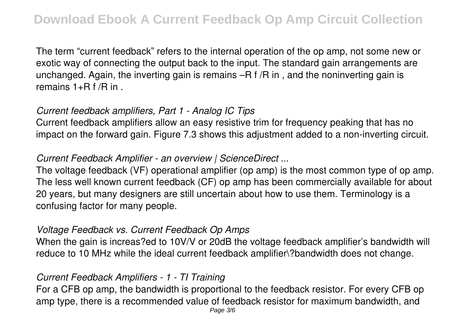The term "current feedback" refers to the internal operation of the op amp, not some new or exotic way of connecting the output back to the input. The standard gain arrangements are unchanged. Again, the inverting gain is remains –R f /R in , and the noninverting gain is remains  $1+R$  f /R in.

### *Current feedback amplifiers, Part 1 - Analog IC Tips*

Current feedback amplifiers allow an easy resistive trim for frequency peaking that has no impact on the forward gain. Figure 7.3 shows this adjustment added to a non-inverting circuit.

# *Current Feedback Amplifier - an overview | ScienceDirect ...*

The voltage feedback (VF) operational amplifier (op amp) is the most common type of op amp. The less well known current feedback (CF) op amp has been commercially available for about 20 years, but many designers are still uncertain about how to use them. Terminology is a confusing factor for many people.

# *Voltage Feedback vs. Current Feedback Op Amps*

When the gain is increas?ed to 10V/V or 20dB the voltage feedback amplifier's bandwidth will reduce to 10 MHz while the ideal current feedback amplifier\?bandwidth does not change.

# *Current Feedback Amplifiers - 1 - TI Training*

For a CFB op amp, the bandwidth is proportional to the feedback resistor. For every CFB op amp type, there is a recommended value of feedback resistor for maximum bandwidth, and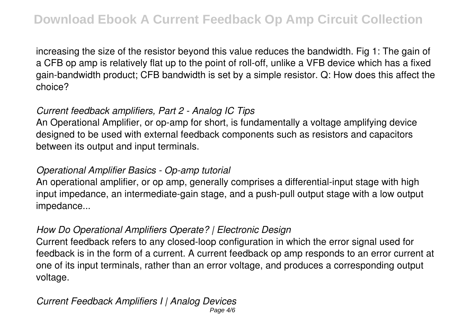increasing the size of the resistor beyond this value reduces the bandwidth. Fig 1: The gain of a CFB op amp is relatively flat up to the point of roll-off, unlike a VFB device which has a fixed gain-bandwidth product; CFB bandwidth is set by a simple resistor. Q: How does this affect the choice?

# *Current feedback amplifiers, Part 2 - Analog IC Tips*

An Operational Amplifier, or op-amp for short, is fundamentally a voltage amplifying device designed to be used with external feedback components such as resistors and capacitors between its output and input terminals.

#### *Operational Amplifier Basics - Op-amp tutorial*

An operational amplifier, or op amp, generally comprises a differential-input stage with high input impedance, an intermediate-gain stage, and a push-pull output stage with a low output impedance...

# *How Do Operational Amplifiers Operate? | Electronic Design*

Current feedback refers to any closed-loop configuration in which the error signal used for feedback is in the form of a current. A current feedback op amp responds to an error current at one of its input terminals, rather than an error voltage, and produces a corresponding output voltage.

#### *Current Feedback Amplifiers I | Analog Devices* Page 4/6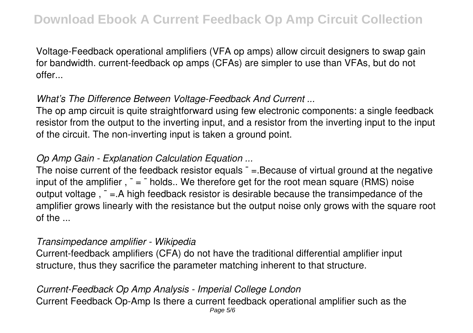Voltage-Feedback operational amplifiers (VFA op amps) allow circuit designers to swap gain for bandwidth. current-feedback op amps (CFAs) are simpler to use than VFAs, but do not offer...

# *What's The Difference Between Voltage-Feedback And Current ...*

The op amp circuit is quite straightforward using few electronic components: a single feedback resistor from the output to the inverting input, and a resistor from the inverting input to the input of the circuit. The non-inverting input is taken a ground point.

# *Op Amp Gain - Explanation Calculation Equation ...*

The noise current of the feedback resistor equals  $\bar{ }$  = Because of virtual ground at the negative input of the amplifier,  $\bar{z} = \bar{z}$  holds.. We therefore get for the root mean square (RMS) noise output voltage,  $\bar{z}$  =. A high feedback resistor is desirable because the transimpedance of the amplifier grows linearly with the resistance but the output noise only grows with the square root of the ...

#### *Transimpedance amplifier - Wikipedia*

Current-feedback amplifiers (CFA) do not have the traditional differential amplifier input structure, thus they sacrifice the parameter matching inherent to that structure.

#### *Current-Feedback Op Amp Analysis - Imperial College London*

Current Feedback Op-Amp Is there a current feedback operational amplifier such as the